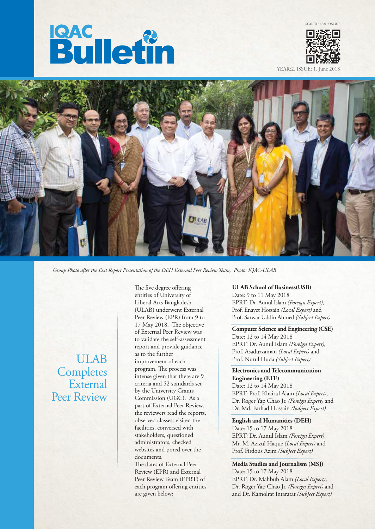## **Bulletin**



YEAR:2, ISSUE: 1, June



*Group Photo after the Exit Report Presentation of the DEH External Peer Review Team, Photo: IQAC-ULAB*

ULAB **Completes** External Peer Review The five degree offering entities of University of Liberal Arts Bangladesh (ULAB) underwent External Peer Review (EPR) from 9 to 17 May 2018. The objective of External Peer Review was to validate the self-assessment report and provide guidance as to the further improvement of each program. The process was intense given that there are 9 criteria and 52 standards set by the University Grants Commission (UGC). As a part of External Peer Review, the reviewers read the reports, observed classes, visited the facilities, conversed with stakeholders, questioned administrators, checked websites and pored over the documents.

The dates of External Peer Review (EPR) and External Peer Review Team (EPRT) of each program offering entities are given below:

**ULAB School of Business(USB)** Date: 9 to 11 May 2018 EPRT: Dr. Aunul Islam *(Foreign Expert)*, Prof. Enayet Hossain *(Local Expert)* and Prof. Sarwar Uddin Ahmed *(Subject Expert)*

**Computer Science and Engineering (CSE)** Date: 12 to 14 May 2018 EPRT: Dr. Aunul Islam *(Foreign Expert)*, Prof. Asaduzzaman *(Local Expert)* and Prof. Nurul Huda *(Subject Expert)*

**Electronics and Telecommunication Engineering (ETE)** Date: 12 to 14 May 2018 EPRT: Prof. Khairul Alam *(Local Expert)*, Dr. Roger Yap Chao Jr. *(Foreign Expert)* and Dr. Md. Farhad Hossain *(Subject Expert)*

**English and Humanities (DEH)** Date: 15 to 17 May 2018 EPRT: Dr. Aunul Islam *(Foreign Expert)*, Mr. M. Azizul Haque *(Local Expert)* and Prof. Firdous Azim *(Subject Expert)*

**Media Studies and Journalism (MSJ)** Date: 15 to 17 May 2018 EPRT: Dr. Mahbub Alam *(Local Expert)*, Dr. Roger Yap Chao Jr. *(Foreign Expert)* and and Dr. Kamolrat Intaratat *(Subject Expert)*